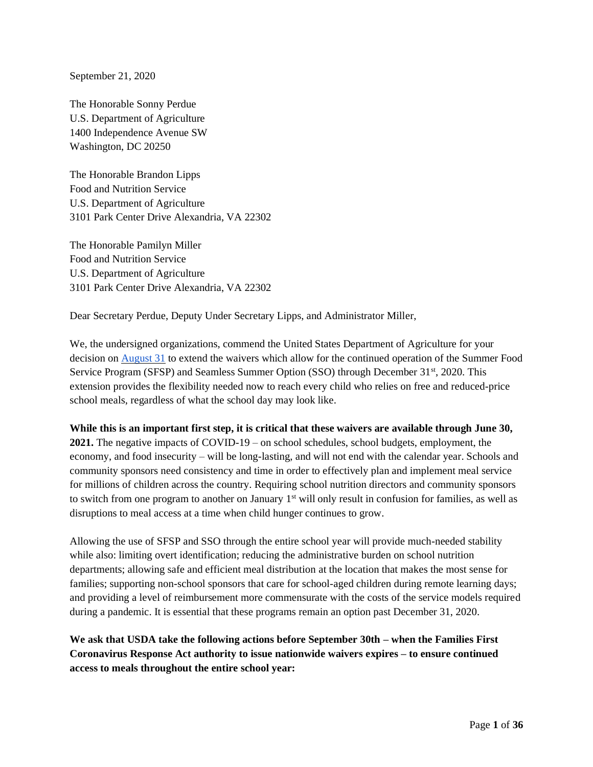September 21, 2020

The Honorable Sonny Perdue U.S. Department of Agriculture 1400 Independence Avenue SW Washington, DC 20250

The Honorable Brandon Lipps Food and Nutrition Service U.S. Department of Agriculture 3101 Park Center Drive Alexandria, VA 22302

The Honorable Pamilyn Miller Food and Nutrition Service U.S. Department of Agriculture 3101 Park Center Drive Alexandria, VA 22302

Dear Secretary Perdue, Deputy Under Secretary Lipps, and Administrator Miller,

We, the undersigned organizations, commend the United States Department of Agriculture for your decision on [August 31](https://www.usda.gov/media/press-releases/2020/08/31/usda-extends-free-meals-kids-through-december-31-2020) to extend the waivers which allow for the continued operation of the Summer Food Service Program (SFSP) and Seamless Summer Option (SSO) through December 31<sup>st</sup>, 2020. This extension provides the flexibility needed now to reach every child who relies on free and reduced-price school meals, regardless of what the school day may look like.

**While this is an important first step, it is critical that these waivers are available through June 30, 2021.** The negative impacts of COVID-19 – on school schedules, school budgets, employment, the economy, and food insecurity – will be long-lasting, and will not end with the calendar year. Schools and community sponsors need consistency and time in order to effectively plan and implement meal service for millions of children across the country. Requiring school nutrition directors and community sponsors to switch from one program to another on January 1<sup>st</sup> will only result in confusion for families, as well as disruptions to meal access at a time when child hunger continues to grow.

Allowing the use of SFSP and SSO through the entire school year will provide much-needed stability while also: limiting overt identification; reducing the administrative burden on school nutrition departments; allowing safe and efficient meal distribution at the location that makes the most sense for families; supporting non-school sponsors that care for school-aged children during remote learning days; and providing a level of reimbursement more commensurate with the costs of the service models required during a pandemic. It is essential that these programs remain an option past December 31, 2020.

**We ask that USDA take the following actions before September 30th – when the Families First Coronavirus Response Act authority to issue nationwide waivers expires – to ensure continued access to meals throughout the entire school year:**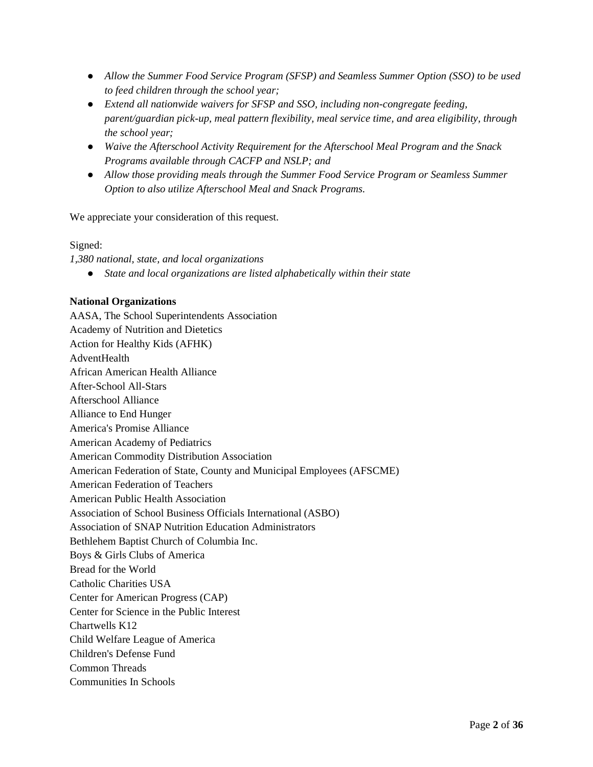- *Allow the Summer Food Service Program (SFSP) and Seamless Summer Option (SSO) to be used to feed children through the school year;*
- *Extend all nationwide waivers for SFSP and SSO, including non-congregate feeding, parent/guardian pick-up, meal pattern flexibility, meal service time, and area eligibility, through the school year;*
- *Waive the Afterschool Activity Requirement for the Afterschool Meal Program and the Snack Programs available through CACFP and NSLP; and*
- *Allow those providing meals through the Summer Food Service Program or Seamless Summer Option to also utilize Afterschool Meal and Snack Programs.*

We appreciate your consideration of this request.

## Signed:

*1,380 national, state, and local organizations*

● *State and local organizations are listed alphabetically within their state*

## **National Organizations**

AASA, The School Superintendents Association Academy of Nutrition and Dietetics Action for Healthy Kids (AFHK) AdventHealth African American Health Alliance After-School All-Stars Afterschool Alliance Alliance to End Hunger America's Promise Alliance American Academy of Pediatrics American Commodity Distribution Association American Federation of State, County and Municipal Employees (AFSCME) American Federation of Teachers American Public Health Association Association of School Business Officials International (ASBO) Association of SNAP Nutrition Education Administrators Bethlehem Baptist Church of Columbia Inc. Boys & Girls Clubs of America Bread for the World Catholic Charities USA Center for American Progress (CAP) Center for Science in the Public Interest Chartwells K12 Child Welfare League of America Children's Defense Fund Common Threads Communities In Schools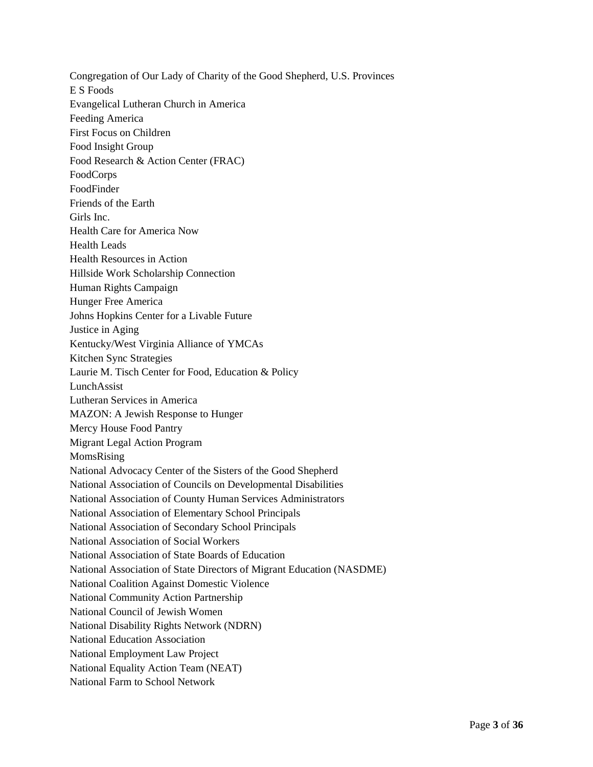Congregation of Our Lady of Charity of the Good Shepherd, U.S. Provinces E S Foods Evangelical Lutheran Church in America Feeding America First Focus on Children Food Insight Group Food Research & Action Center (FRAC) FoodCorps FoodFinder Friends of the Earth Girls Inc. Health Care for America Now Health Leads Health Resources in Action Hillside Work Scholarship Connection Human Rights Campaign Hunger Free America Johns Hopkins Center for a Livable Future Justice in Aging Kentucky/West Virginia Alliance of YMCAs Kitchen Sync Strategies Laurie M. Tisch Center for Food, Education & Policy LunchAssist Lutheran Services in America MAZON: A Jewish Response to Hunger Mercy House Food Pantry Migrant Legal Action Program MomsRising National Advocacy Center of the Sisters of the Good Shepherd National Association of Councils on Developmental Disabilities National Association of County Human Services Administrators National Association of Elementary School Principals National Association of Secondary School Principals National Association of Social Workers National Association of State Boards of Education National Association of State Directors of Migrant Education (NASDME) National Coalition Against Domestic Violence National Community Action Partnership National Council of Jewish Women National Disability Rights Network (NDRN) National Education Association National Employment Law Project National Equality Action Team (NEAT) National Farm to School Network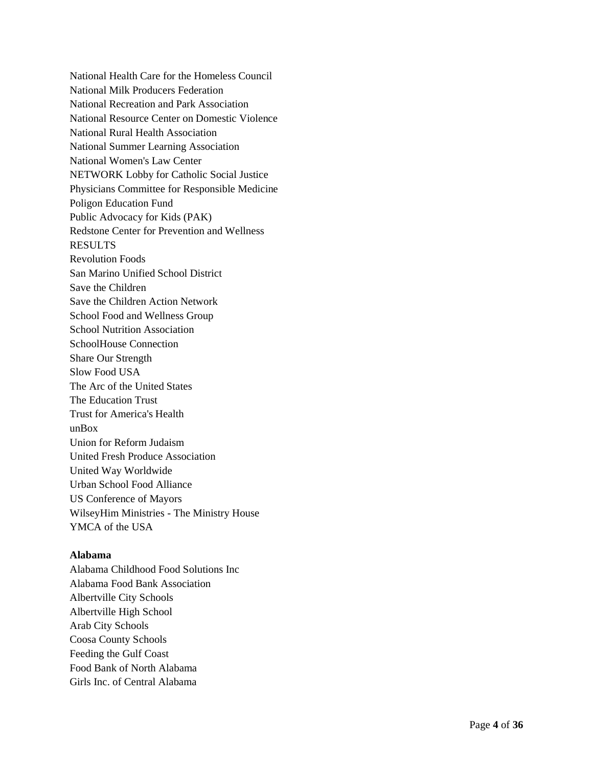National Health Care for the Homeless Council National Milk Producers Federation National Recreation and Park Association National Resource Center on Domestic Violence National Rural Health Association National Summer Learning Association National Women's Law Center NETWORK Lobby for Catholic Social Justice Physicians Committee for Responsible Medicine Poligon Education Fund Public Advocacy for Kids (PAK) Redstone Center for Prevention and Wellness RESULTS Revolution Foods San Marino Unified School District Save the Children Save the Children Action Network School Food and Wellness Group School Nutrition Association SchoolHouse Connection Share Our Strength Slow Food USA The Arc of the United States The Education Trust Trust for America's Health unBox Union for Reform Judaism United Fresh Produce Association United Way Worldwide Urban School Food Alliance US Conference of Mayors WilseyHim Ministries - The Ministry House YMCA of the USA

#### **Alabama**

Alabama Childhood Food Solutions Inc Alabama Food Bank Association Albertville City Schools Albertville High School Arab City Schools Coosa County Schools Feeding the Gulf Coast Food Bank of North Alabama Girls Inc. of Central Alabama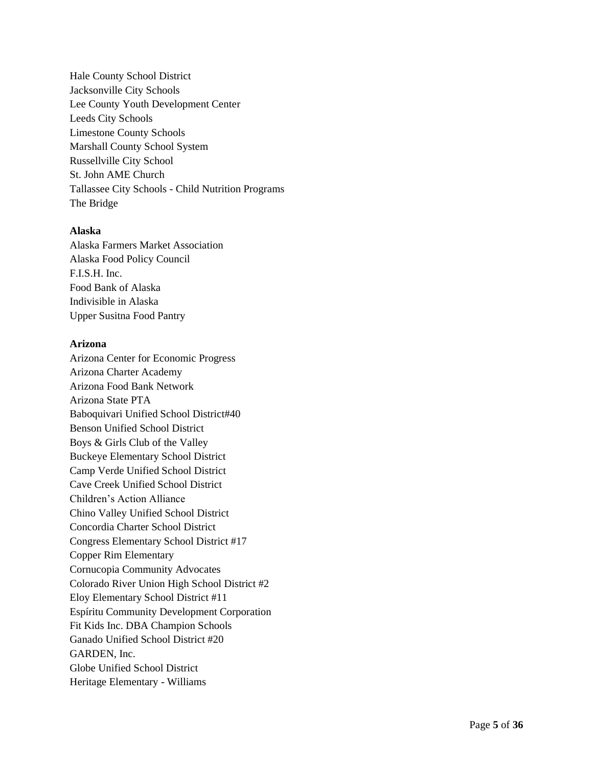Hale County School District Jacksonville City Schools Lee County Youth Development Cente r Leeds City Schools Limestone County Schools Marshall County School System Russellville City School St. John AME Church Tallassee City Schools - Child Nutrition Programs The Bridge

## **Alaska**

Alaska Farmers Market Association Alaska Food Policy Council F.I.S.H. Inc. Food Bank of Alaska Indivisible in Alaska Upper Susitna Food Pantry

### **Arizona**

Arizona Center for Economic Progress Arizona Charter Academy Arizona Food Bank Network Arizona State PTA Baboquivari Unified School District#40 Benson Unified School District Boys & Girls Club of the Valley Buckeye Elementary School District Camp Verde Unified School District Cave Creek Unified School District Children's Action Alliance Chino Valley Unified School District Concordia Charter School District Congress Elementary School District #17 Copper Rim Elementary Cornucopia Community Advocates Colorado River Union High School District #2 Eloy Elementary School District #11 Espíritu Community Development Corporation Fit Kids Inc. DBA Champion Schools Ganado Unified School District #20 GARDEN, Inc. Globe Unified School District Heritage Elementary - Williams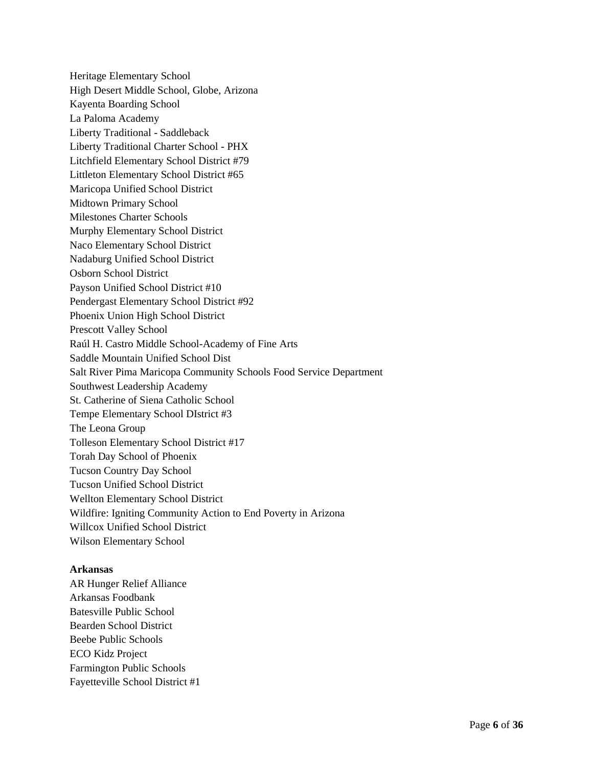Heritage Elementary School High Desert Middle School, Globe, Arizona Kayenta Boarding School La Paloma Academy Liberty Traditional - Saddleback Liberty Traditional Charter School - PHX Litchfield Elementary School District #79 Littleton Elementary School District #65 Maricopa Unified School District Midtown Primary School Milestones Charter Schools Murphy Elementary School District Naco Elementary School District Nadaburg Unified School District Osborn School District Payson Unified School District #10 Pendergast Elementary School District #92 Phoenix Union High School District Prescott Valley School Raúl H. Castro Middle School-Academy of Fine Arts Saddle Mountain Unified School Dist Salt River Pima Maricopa Community Schools Food Service Department Southwest Leadership Academy St. Catherine of Siena Catholic School Tempe Elementary School DIstrict #3 The Leona Group Tolleson Elementary School District #17 Torah Day School of Phoenix Tucson Country Day School Tucson Unified School District Wellton Elementary School District Wildfire: Igniting Community Action to End Poverty in Arizona Willcox Unified School District Wilson Elementary School

#### **Arkansas**

AR Hunger Relief Alliance Arkansas Foodbank Batesville Public School Bearden School District Beebe Public Schools ECO Kidz Project Farmington Public Schools Fayetteville School District #1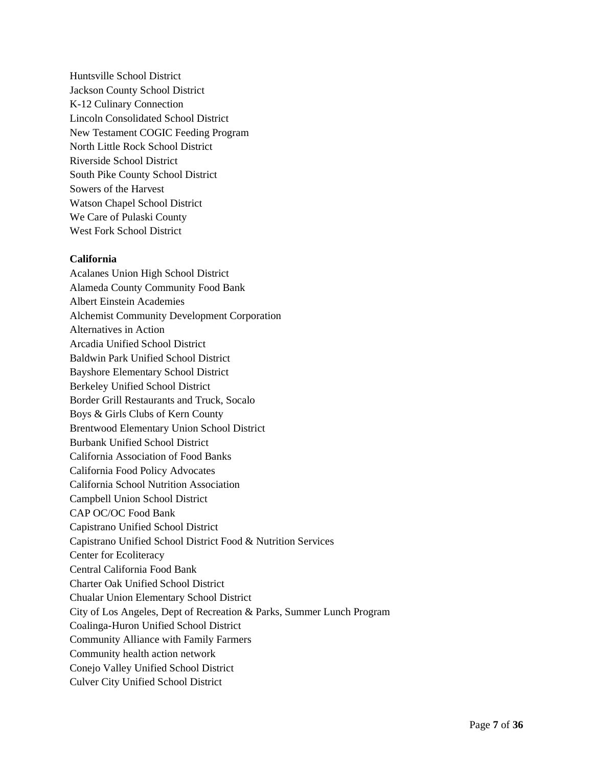Huntsville School District Jackson County School District K-12 Culinary Connection Lincoln Consolidated School District New Testament COGIC Feeding Program North Little Rock School District Riverside School District South Pike County School District Sowers of the Harvest Watson Chapel School District We Care of Pulaski County West Fork School District

#### **California**

Acalanes Union High School District Alameda County Community Food Bank Albert Einstein Academies Alchemist Community Development Corporation Alternatives in Action Arcadia Unified School District Baldwin Park Unified School District Bayshore Elementary School District Berkeley Unified School District Border Grill Restaurants and Truck, Socalo Boys & Girls Clubs of Kern County Brentwood Elementary Union School District Burbank Unified School District California Association of Food Banks California Food Policy Advocates California School Nutrition Association Campbell Union School District CAP OC/OC Food Bank Capistrano Unified School District Capistrano Unified School District Food & Nutrition Services Center for Ecoliteracy Central California Food Bank Charter Oak Unified School District Chualar Union Elementary School District City of Los Angeles, Dept of Recreation & Parks, Summer Lunch Program Coalinga-Huron Unified School District Community Alliance with Family Farmers Community health action network Conejo Valley Unified School District Culver City Unified School District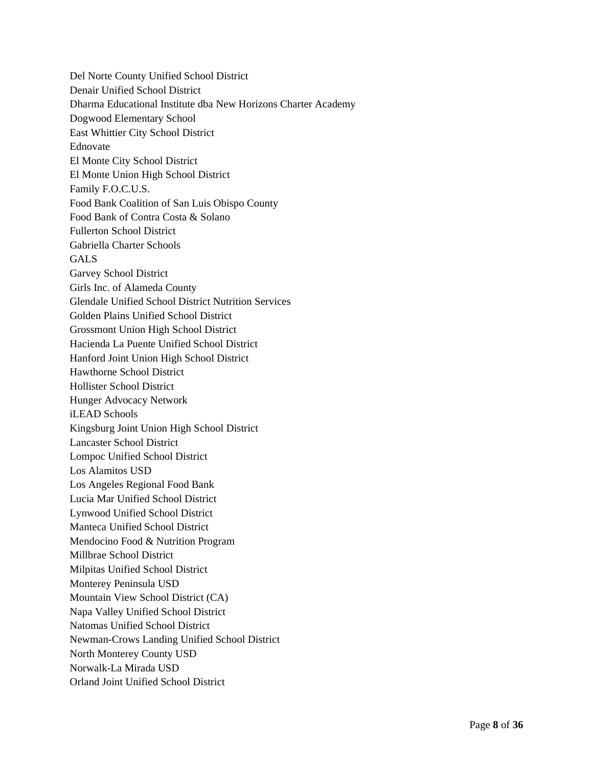Del Norte County Unified School District Denair Unified School District Dharma Educational Institute dba New Horizons Charter Academy Dogwood Elementary School East Whittier City School District Ednovate El Monte City School District El Monte Union High School District Family F.O.C.U.S. Food Bank Coalition of San Luis Obispo County Food Bank of Contra Costa & Solano Fullerton School District Gabriella Charter Schools GALS Garvey School District Girls Inc. of Alameda County Glendale Unified School District Nutrition Services Golden Plains Unified School District Grossmont Union High School District Hacienda La Puente Unified School District Hanford Joint Union High School District Hawthorne School District Hollister School District Hunger Advocacy Network iLEAD Schools Kingsburg Joint Union High School District Lancaster School District Lompoc Unified School District Los Alamitos USD Los Angeles Regional Food Bank Lucia Mar Unified School District Lynwood Unified School District Manteca Unified School District Mendocino Food & Nutrition Program Millbrae School District Milpitas Unified School District Monterey Peninsula USD Mountain View School District (CA) Napa Valley Unified School District Natomas Unified School District Newman-Crows Landing Unified School District North Monterey County USD Norwalk-La Mirada USD Orland Joint Unified School District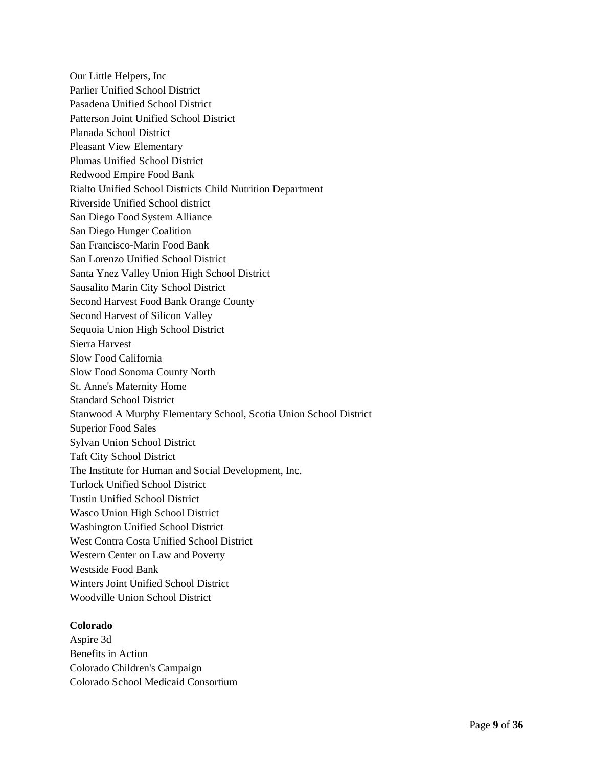Our Little Helpers, Inc Parlier Unified School District Pasadena Unified School District Patterson Joint Unified School District Planada School District Pleasant View Elementary Plumas Unified School District Redwood Empire Food Bank Rialto Unified School Districts Child Nutrition Department Riverside Unified School district San Diego Food System Alliance San Diego Hunger Coalition San Francisco-Marin Food Bank San Lorenzo Unified School District Santa Ynez Valley Union High School District Sausalito Marin City School District Second Harvest Food Bank Orange County Second Harvest of Silicon Valley Sequoia Union High School District Sierra Harvest Slow Food California Slow Food Sonoma County North St. Anne's Maternity Home Standard School District Stanwood A Murphy Elementary School, Scotia Union School District Superior Food Sales Sylvan Union School District Taft City School District The Institute for Human and Social Development, Inc. Turlock Unified School District Tustin Unified School District Wasco Union High School District Washington Unified School District West Contra Costa Unified School District Western Center on Law and Poverty Westside Food Bank Winters Joint Unified School District Woodville Union School District

## **Colorado**

Aspire 3d Benefits in Action Colorado Children's Campaign Colorado School Medicaid Consortium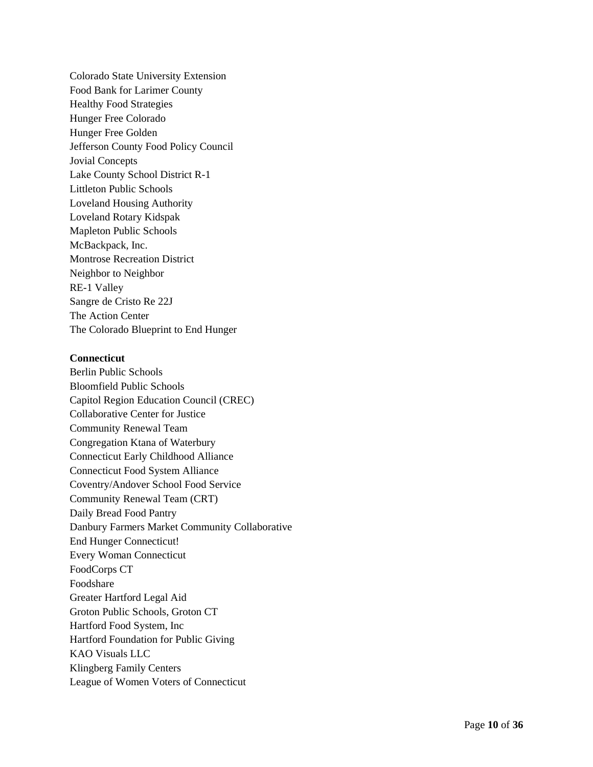Colorado State University Extension Food Bank for Larimer County Healthy Food Strategies Hunger Free Colorado Hunger Free Golden Jefferson County Food Policy Council Jovial Concepts Lake County School District R - 1 Littleton Public Schools Loveland Housing Authority Loveland Rotary Kidspak Mapleton Public Schools McBackpack, Inc. Montrose Recreation District Neighbor to Neighbor RE -1 Valley Sangre de Cristo Re 22J The Action Center The Colorado Blueprint to End Hunger

#### **Connecticut**

Berlin Public Schools Bloomfield Public Schools Capitol Region Education Council (CREC) Collaborative Center for Justice Community Renewal Team Congregation Ktana of Waterbury Connecticut Early Childhood Alliance Connecticut Food System Alliance Coventry/Andover School Food Service Community Renewal Team (CRT) Daily Bread Food Pantry Danbury Farmers Market Community Collaborative End Hunger Connecticut! Every Woman Connecticut FoodCorps CT Foodshare Greater Hartford Legal Aid Groton Public Schools, Groton CT Hartford Food System, Inc Hartford Foundation for Public Giving KAO Visuals LLC Klingberg Family Centers League of Women Voters of Connecticut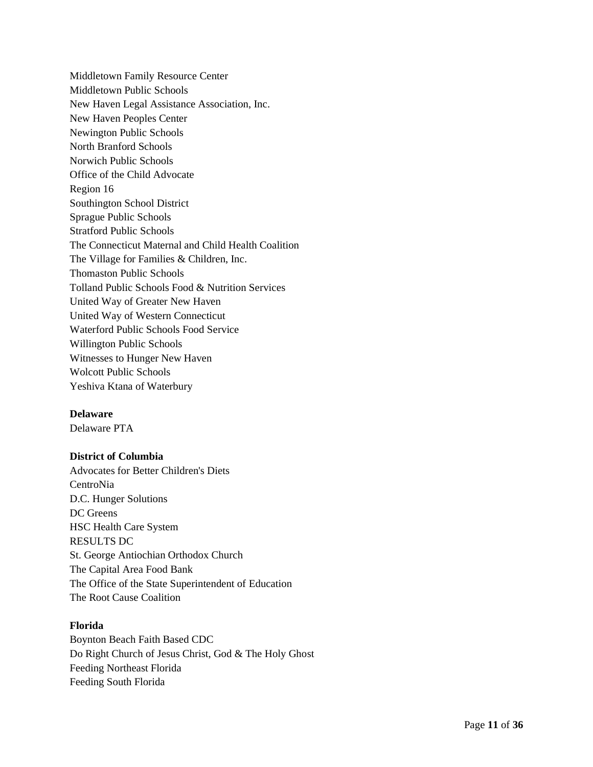Middletown Family Resource Center Middletown Public Schools New Haven Legal Assistance Association, Inc. New Haven Peoples Center Newington Public Schools North Branford Schools Norwich Public Schools Office of the Child Advocate Region 16 Southington School District Sprague Public Schools Stratford Public Schools The Connecticut Maternal and Child Health Coalition The Village for Families & Children, Inc. Thomaston Public Schools Tolland Public Schools Food & Nutrition Services United Way of Greater New Haven United Way of Western Connecticut Waterford Public Schools Food Service Willington Public Schools Witnesses to Hunger New Haven Wolcott Public Schools Yeshiva Ktana of Waterbury

## **Delaware**

Delaware PTA

## **District of Columbia**

Advocates for Better Children's Diets CentroNia D.C. Hunger Solutions DC Greens HSC Health Care System RESULTS DC St. George Antiochian Orthodox Church The Capital Area Food Bank The Office of the State Superintendent of Education The Root Cause Coalition

## **Florida**

Boynton Beach Faith Based CDC Do Right Church of Jesus Christ, God & The Holy Ghost Feeding Northeast Florida Feeding South Florida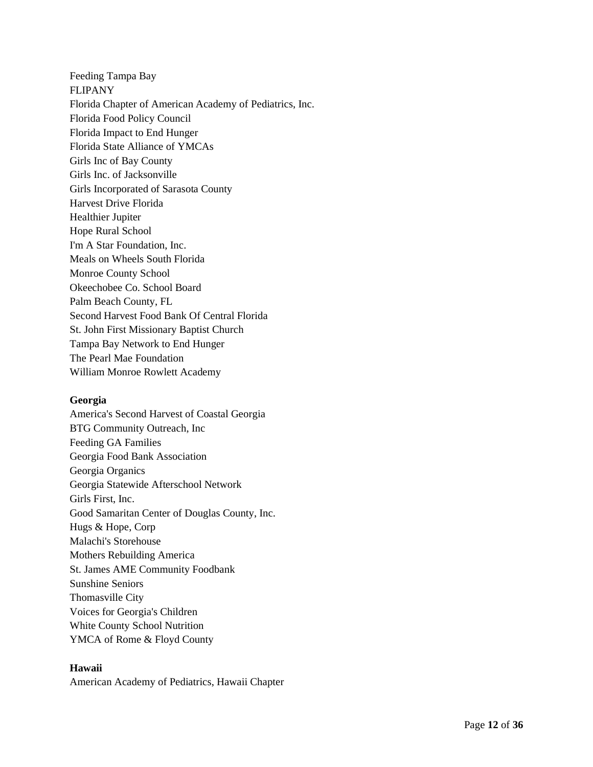Feeding Tampa Bay FLIPANY Florida Chapter of American Academy of Pediatrics, Inc. Florida Food Policy Council Florida Impact to End Hunger Florida State Alliance of YMCAs Girls Inc of Bay County Girls Inc. of Jacksonville Girls Incorporated of Sarasota County Harvest Drive Florida Healthier Jupiter Hope Rural School I'm A Star Foundation, Inc. Meals on Wheels South Florida Monroe County School Okeechobee Co. School Board Palm Beach County, FL Second Harvest Food Bank Of Central Florida St. John First Missionary Baptist Church Tampa Bay Network to End Hunger The Pearl Mae Foundation William Monroe Rowlett Academy

## **Georgia**

America's Second Harvest of Coastal Georgia BTG Community Outreach, Inc Feeding GA Families Georgia Food Bank Association Georgia Organics Georgia Statewide Afterschool Network Girls First, Inc. Good Samaritan Center of Douglas County, Inc. Hugs & Hope, Corp Malachi's Storehouse Mothers Rebuilding America St. James AME Community Foodbank Sunshine Seniors Thomasville City Voices for Georgia's Children White County School Nutrition YMCA of Rome & Floyd County

## **Hawaii**

American Academy of Pediatrics, Hawaii Chapter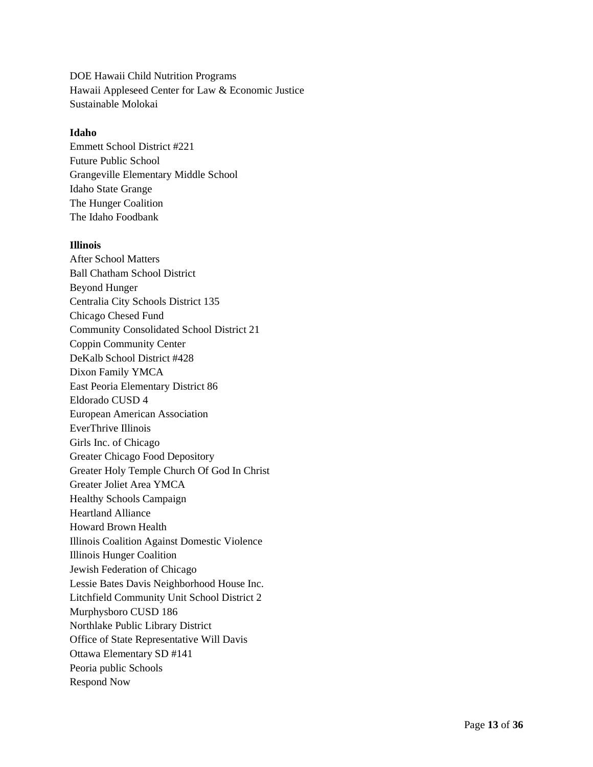DOE Hawaii Child Nutrition Programs Hawaii Appleseed Center for Law & Economic Justice Sustainable Molokai

## **Idaho**

Emmett School District #221 Future Public School Grangeville Elementary Middle School Idaho State Grange The Hunger Coalition The Idaho Foodbank

## **Illinois**

After School Matters Ball Chatham School District Beyond Hunger Centralia City Schools District 135 Chicago Chesed Fund Community Consolidated School District 21 Coppin Community Center DeKalb School District #428 Dixon Family YMCA East Peoria Elementary District 86 Eldorado CUSD 4 European American Association EverThrive Illinois Girls Inc. of Chicago Greater Chicago Food Depository Greater Holy Temple Church Of God In Christ Greater Joliet Area YMCA Healthy Schools Campaign Heartland Alliance Howard Brown Health Illinois Coalition Against Domestic Violence Illinois Hunger Coalition Jewish Federation of Chicago Lessie Bates Davis Neighborhood House Inc. Litchfield Community Unit School District 2 Murphysboro CUSD 186 Northlake Public Library District Office of State Representative Will Davis Ottawa Elementary SD #141 Peoria public Schools Respond Now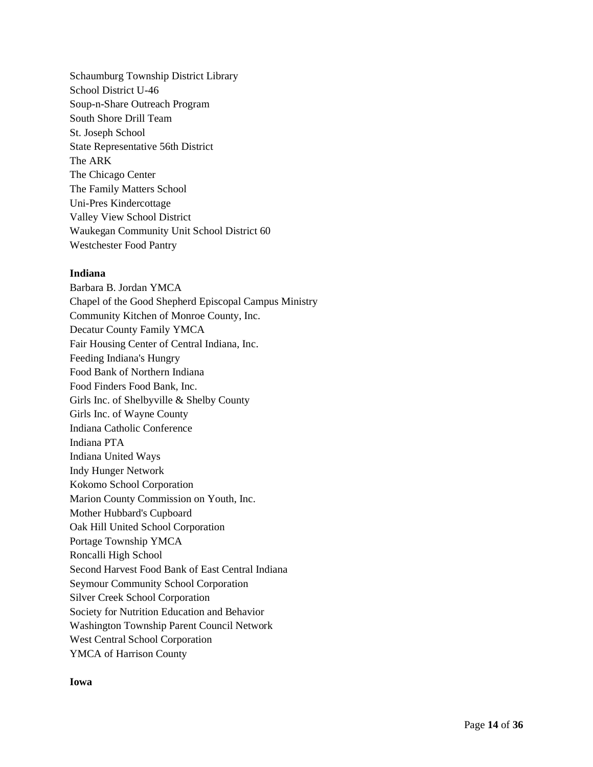Schaumburg Township District Library School District U-46 Soup-n-Share Outreach Program South Shore Drill Team St. Joseph School State Representative 56th District The ARK The Chicago Center The Family Matters School Uni-Pres Kindercottage Valley View School District Waukegan Community Unit School District 60 Westchester Food Pantry

### **Indiana**

Barbara B. Jordan YMCA Chapel of the Good Shepherd Episcopal Campus Ministry Community Kitchen of Monroe County, Inc. Decatur County Family YMCA Fair Housing Center of Central Indiana, Inc. Feeding Indiana's Hungry Food Bank of Northern Indiana Food Finders Food Bank, Inc. Girls Inc. of Shelbyville & Shelby County Girls Inc. of Wayne County Indiana Catholic Conference Indiana PTA Indiana United Ways Indy Hunger Network Kokomo School Corporation Marion County Commission on Youth, Inc. Mother Hubbard's Cupboard Oak Hill United School Corporation Portage Township YMCA Roncalli High School Second Harvest Food Bank of East Central Indiana Seymour Community School Corporation Silver Creek School Corporation Society for Nutrition Education and Behavior Washington Township Parent Council Network West Central School Corporation YMCA of Harrison County

#### **Iowa**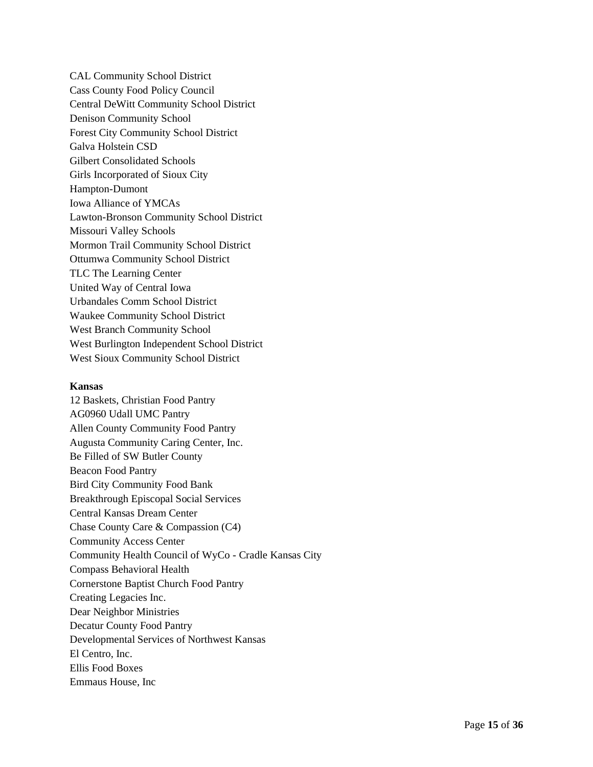CAL Community School District Cass County Food Policy Council Central DeWitt Community School District Denison Community School Forest City Community School District Galva Holstein CSD Gilbert Consolidated Schools Girls Incorporated of Sioux City Hampton-Dumont Iowa Alliance of YMCAs Lawton-Bronson Community School District Missouri Valley Schools Mormon Trail Community School District Ottumwa Community School District TLC The Learning Center United Way of Central Iowa Urbandales Comm School District Waukee Community School District West Branch Community School West Burlington Independent School District West Sioux Community School District

#### **Kansas**

12 Baskets, Christian Food Pantry AG0960 Udall UMC Pantry Allen County Community Food Pantry Augusta Community Caring Center, Inc. Be Filled of SW Butler County Beacon Food Pantry Bird City Community Food Bank Breakthrough Episcopal Social Services Central Kansas Dream Center Chase County Care & Compassion (C4) Community Access Center Community Health Council of WyCo - Cradle Kansas City Compass Behavioral Health Cornerstone Baptist Church Food Pantry Creating Legacies Inc. Dear Neighbor Ministries Decatur County Food Pantry Developmental Services of Northwest Kansas El Centro, Inc. Ellis Food Boxes Emmaus House, Inc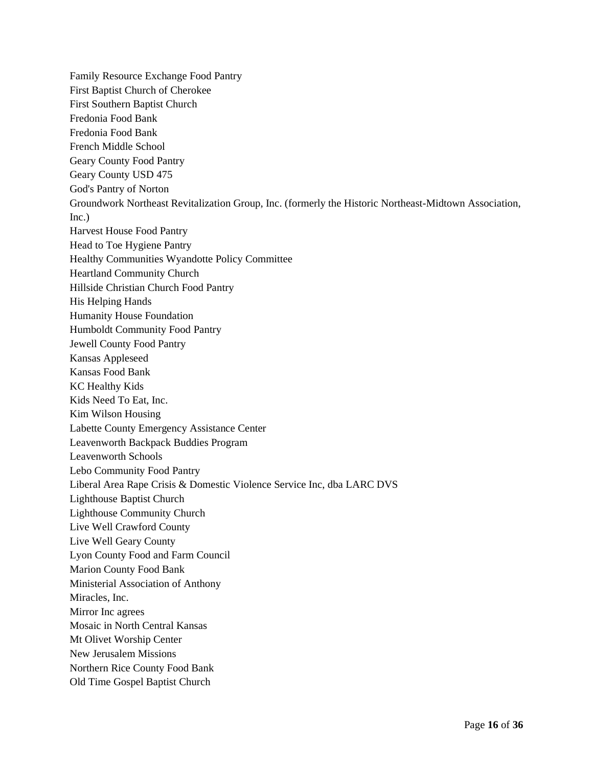Family Resource Exchange Food Pantry First Baptist Church of Cherokee First Southern Baptist Church Fredonia Food Bank Fredonia Food Bank French Middle School Geary County Food Pantry Geary County USD 475 God's Pantry of Norton Groundwork Northeast Revitalization Group, Inc. (formerly the Historic Northeast-Midtown Association, Inc.) Harvest House Food Pantry Head to Toe Hygiene Pantry Healthy Communities Wyandotte Policy Committee Heartland Community Church Hillside Christian Church Food Pantry His Helping Hands Humanity House Foundation Humboldt Community Food Pantry Jewell County Food Pantry Kansas Appleseed Kansas Food Bank KC Healthy Kids Kids Need To Eat, Inc. Kim Wilson Housing Labette County Emergency Assistance Center Leavenworth Backpack Buddies Program Leavenworth Schools Lebo Community Food Pantry Liberal Area Rape Crisis & Domestic Violence Service Inc, dba LARC DVS Lighthouse Baptist Church Lighthouse Community Church Live Well Crawford County Live Well Geary County Lyon County Food and Farm Council Marion County Food Bank Ministerial Association of Anthony Miracles, Inc. Mirror Inc agrees Mosaic in North Central Kansas Mt Olivet Worship Center New Jerusalem Missions Northern Rice County Food Bank Old Time Gospel Baptist Church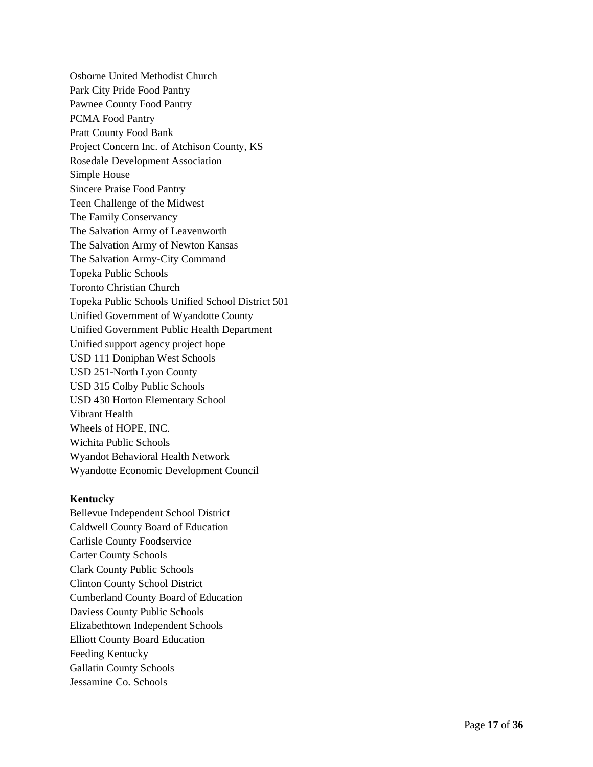Osborne United Methodist Church Park City Pride Food Pantry Pawnee County Food Pantry PCMA Food Pantry Pratt County Food Bank Project Concern Inc. of Atchison County, KS Rosedale Development Association Simple House Sincere Praise Food Pantry Teen Challenge of the Midwest The Family Conservancy The Salvation Army of Leavenworth The Salvation Army of Newton Kansas The Salvation Army -City Command Topeka Public Schools Toronto Christian Church Topeka Public Schools Unified School District 501 Unified Government of Wyandotte County Unified Government Public Health Department Unified support agency project hope USD 111 Doniphan West Schools USD 251 -North Lyon County USD 315 Colby Public Schools USD 430 Horton Elementary School Vibrant Health Wheels of HOPE, INC. Wichita Public Schools Wyandot Behavioral Health Network Wyandotte Economic Development Council

#### **Kentucky**

Bellevue Independent School District Caldwell County Board of Education Carlisle County Foodservice Carter County Schools Clark County Public Schools Clinton County School District Cumberland County Board of Education Daviess County Public Schools Elizabethtown Independent Schools Elliott County Board Education Feeding Kentucky Gallatin County Schools Jessamine Co. Schools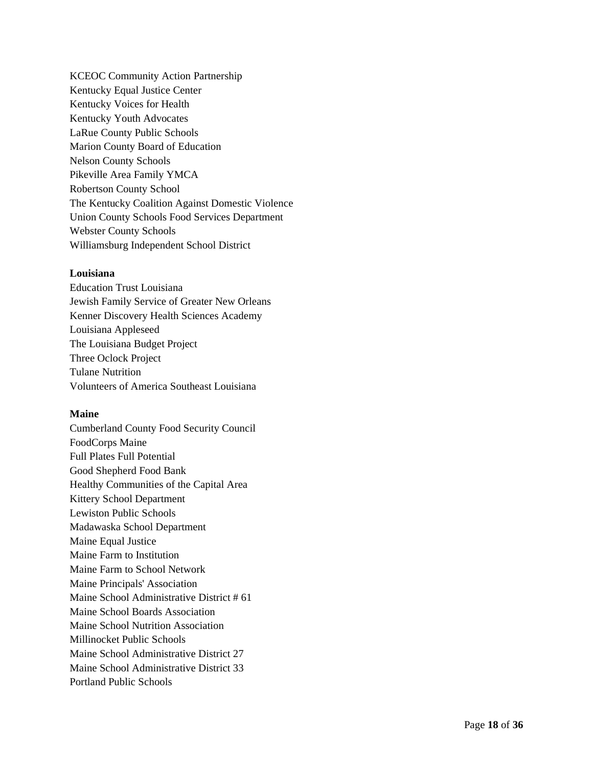KCEOC Community Action Partnership Kentucky Equal Justice Center Kentucky Voices for Health Kentucky Youth Advocates LaRue County Public Schools Marion County Board of Education Nelson County Schools Pikeville Area Family YMCA Robertson County School The Kentucky Coalition Against Domestic Violence Union County Schools Food Services Department Webster County Schools Williamsburg Independent School District

### **Louisiana**

Education Trust Louisiana Jewish Family Service of Greater New Orleans Kenner Discovery Health Sciences Academy Louisiana Appleseed The Louisiana Budget Project Three Oclock Project Tulane Nutrition Volunteers of America Southeast Louisiana

## **Maine**

Cumberland County Food Security Council FoodCorps Maine Full Plates Full Potential Good Shepherd Food Bank Healthy Communities of the Capital Area Kittery School Department Lewiston Public Schools Madawaska School Department Maine Equal Justice Maine Farm to Institution Maine Farm to School Network Maine Principals' Association Maine School Administrative District # 61 Maine School Boards Association Maine School Nutrition Association Millinocket Public Schools Maine School Administrative District 27 Maine School Administrative District 33 Portland Public Schools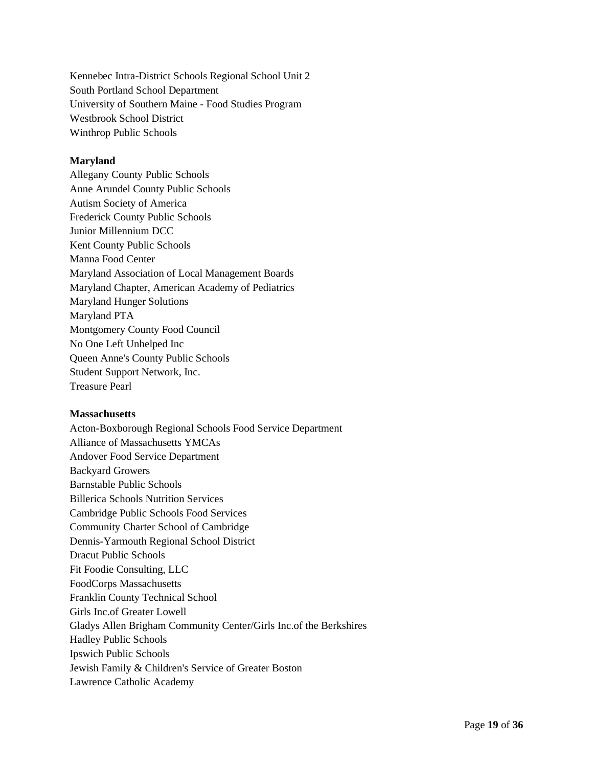Kennebec Intra-District Schools Regional School Unit 2 South Portland School Department University of Southern Maine - Food Studies Program Westbrook School District Winthrop Public Schools

## **Maryland**

Allegany County Public Schools Anne Arundel County Public Schools Autism Society of America Frederick County Public Schools Junior Millennium DCC Kent County Public Schools Manna Food Center Maryland Association of Local Management Boards Maryland Chapter, American Academy of Pediatrics Maryland Hunger Solutions Maryland PTA Montgomery County Food Council No One Left Unhelped Inc Queen Anne's County Public Schools Student Support Network, Inc. Treasure Pearl

#### **Massachusetts**

Acton-Boxborough Regional Schools Food Service Department Alliance of Massachusetts YMCAs Andover Food Service Department Backyard Growers Barnstable Public Schools Billerica Schools Nutrition Services Cambridge Public Schools Food Services Community Charter School of Cambridge Dennis-Yarmouth Regional School District Dracut Public Schools Fit Foodie Consulting, LLC FoodCorps Massachusetts Franklin County Technical School Girls Inc.of Greater Lowell Gladys Allen Brigham Community Center/Girls Inc.of the Berkshires Hadley Public Schools Ipswich Public Schools Jewish Family & Children's Service of Greater Boston Lawrence Catholic Academy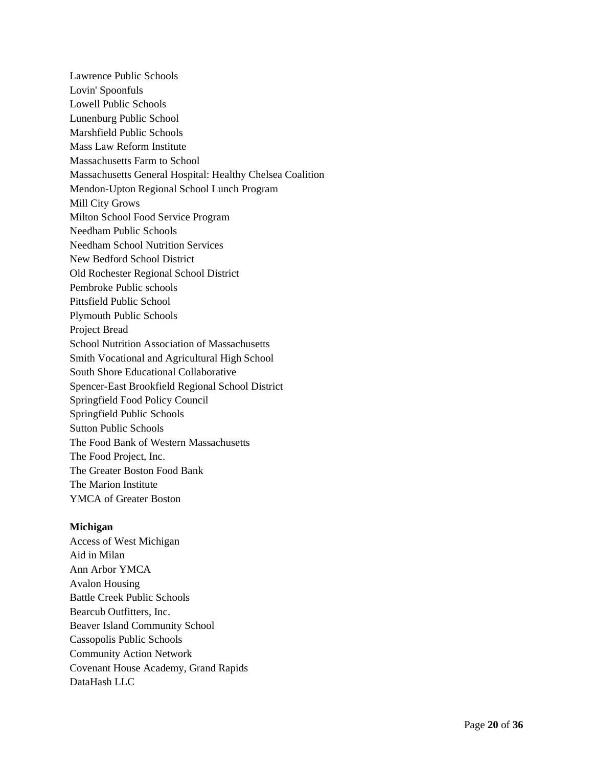Lawrence Public Schools Lovin' Spoonfuls Lowell Public Schools Lunenburg Public School Marshfield Public Schools Mass Law Reform Institute Massachusetts Farm to School Massachusetts General Hospital: Healthy Chelsea Coalition Mendon-Upton Regional School Lunch Program Mill City Grows Milton School Food Service Program Needham Public Schools Needham School Nutrition Services New Bedford School District Old Rochester Regional School District Pembroke Public schools Pittsfield Public School Plymouth Public Schools Project Bread School Nutrition Association of Massachusetts Smith Vocational and Agricultural High School South Shore Educational Collaborative Spencer-East Brookfield Regional School District Springfield Food Policy Council Springfield Public Schools Sutton Public Schools The Food Bank of Western Massachusetts The Food Project, Inc. The Greater Boston Food Bank The Marion Institute YMCA of Greater Boston

## **Michigan**

Access of West Michigan Aid in Milan Ann Arbor YMCA Avalon Housing Battle Creek Public Schools Bearcub Outfitters, Inc. Beaver Island Community School Cassopolis Public Schools Community Action Network Covenant House Academy, Grand Rapids DataHash LLC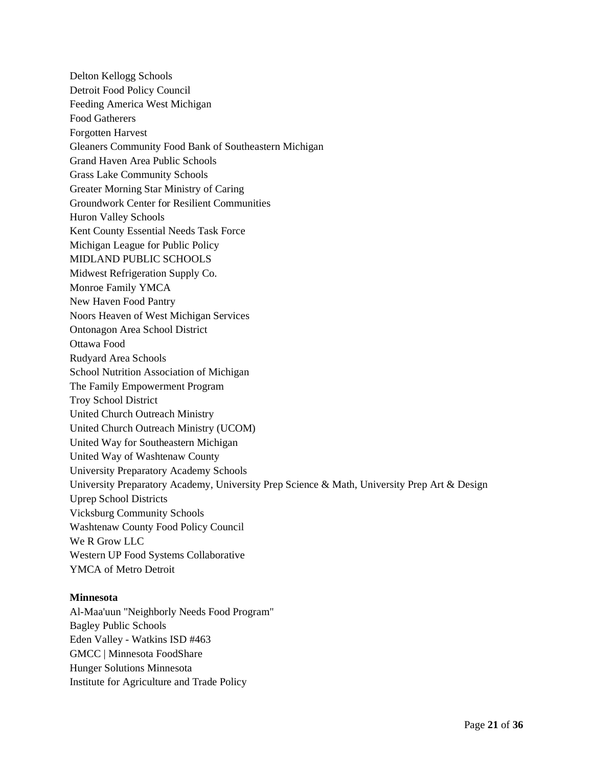Delton Kellogg Schools Detroit Food Policy Council Feeding America West Michigan Food Gatherers Forgotten Harvest Gleaners Community Food Bank of Southeastern Michigan Grand Haven Area Public Schools Grass Lake Community Schools Greater Morning Star Ministry of Caring Groundwork Center for Resilient Communities Huron Valley Schools Kent County Essential Needs Task Force Michigan League for Public Policy MIDLAND PUBLIC SCHOOLS Midwest Refrigeration Supply Co. Monroe Family YMCA New Haven Food Pantry Noors Heaven of West Michigan Services Ontonagon Area School District Ottawa Food Rudyard Area Schools School Nutrition Association of Michigan The Family Empowerment Program Troy School District United Church Outreach Ministry United Church Outreach Ministry (UCOM) United Way for Southeastern Michigan United Way of Washtenaw County University Preparatory Academy Schools University Preparatory Academy, University Prep Science & Math, University Prep Art & Design Uprep School Districts Vicksburg Community Schools Washtenaw County Food Policy Council We R Grow LLC Western UP Food Systems Collaborative YMCA of Metro Detroit

#### **Minnesota**

Al-Maa'uun "Neighborly Needs Food Program" Bagley Public Schools Eden Valley - Watkins ISD #463 GMCC | Minnesota FoodShare Hunger Solutions Minnesota Institute for Agriculture and Trade Policy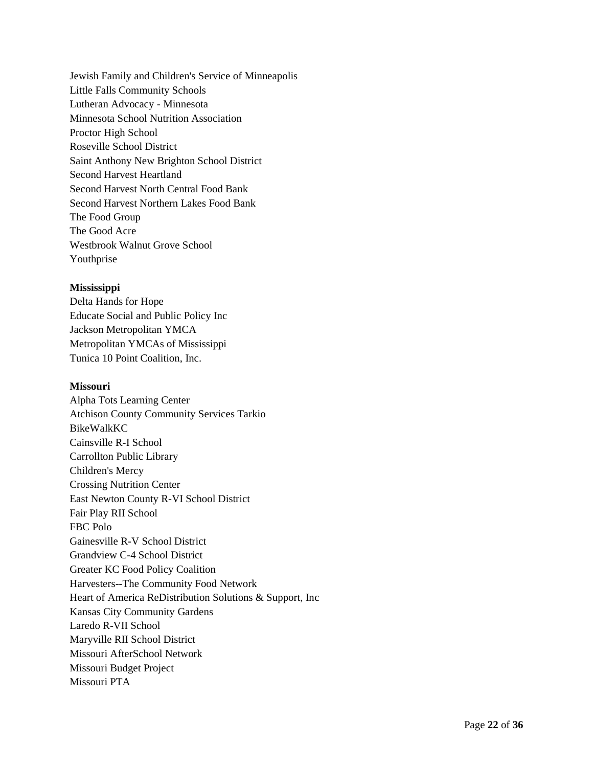Jewish Family and Children's Service of Minneapolis Little Falls Community Schools Lutheran Advocacy - Minnesota Minnesota School Nutrition Association Proctor High School Roseville School District Saint Anthony New Brighton School District Second Harvest Heartland Second Harvest North Central Food Bank Second Harvest Northern Lakes Food Bank The Food Group The Good Acre Westbrook Walnut Grove School Youthprise

## **Mississippi**

Delta Hands for Hope Educate Social and Public Policy Inc Jackson Metropolitan YMCA Metropolitan YMCAs of Mississippi Tunica 10 Point Coalition, Inc.

## **Missouri**

Alpha Tots Learning Center Atchison County Community Services Tarkio BikeWalkKC Cainsville R-I School Carrollton Public Library Children's Mercy Crossing Nutrition Center East Newton County R-VI School District Fair Play RII School FBC Polo Gainesville R-V School District Grandview C-4 School District Greater KC Food Policy Coalition Harvesters--The Community Food Network Heart of America ReDistribution Solutions & Support, Inc Kansas City Community Gardens Laredo R-VII School Maryville RII School District Missouri AfterSchool Network Missouri Budget Project Missouri PTA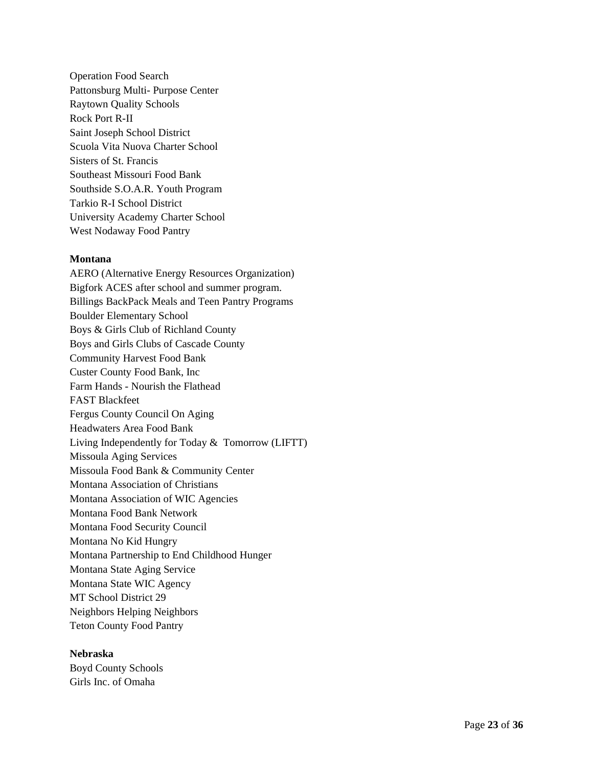Operation Food Search Pattonsburg Multi- Purpose Center Raytown Quality Schools Rock Port R-II Saint Joseph School District Scuola Vita Nuova Charter School Sisters of St. Francis Southeast Missouri Food Bank Southside S.O.A.R. Youth Program Tarkio R-I School District University Academy Charter School West Nodaway Food Pantry

### **Montana**

AERO (Alternative Energy Resources Organization) Bigfork ACES after school and summer program. Billings BackPack Meals and Teen Pantry Programs Boulder Elementary School Boys & Girls Club of Richland County Boys and Girls Clubs of Cascade County Community Harvest Food Bank Custer County Food Bank, Inc Farm Hands - Nourish the Flathead FAST Blackfeet Fergus County Council On Aging Headwaters Area Food Bank Living Independently for Today & Tomorrow (LIFTT) Missoula Aging Services Missoula Food Bank & Community Center Montana Association of Christians Montana Association of WIC Agencies Montana Food Bank Network Montana Food Security Council Montana No Kid Hungry Montana Partnership to End Childhood Hunger Montana State Aging Service Montana State WIC Agency MT School District 29 Neighbors Helping Neighbors Teton County Food Pantry

## **Nebraska**

Boyd County Schools Girls Inc. of Omaha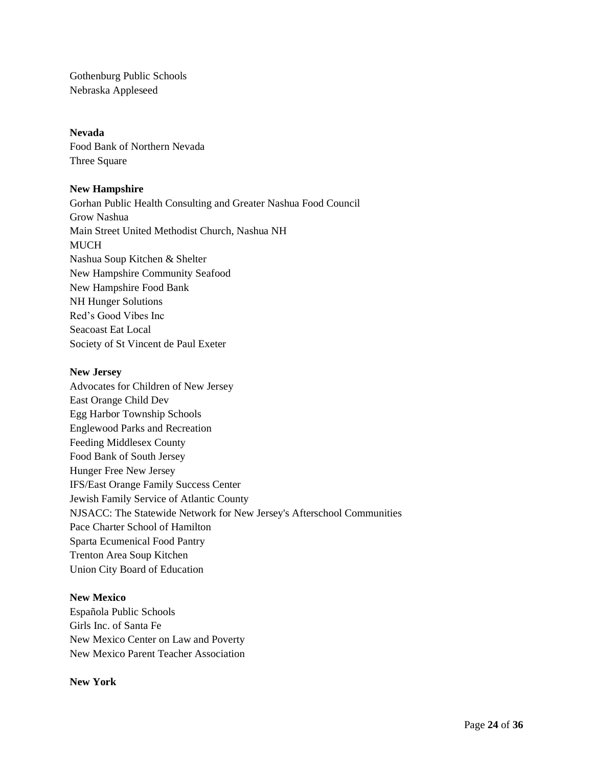Gothenburg Public Schools Nebraska Appleseed

## **Nevada**

Food Bank of Northern Nevada Three Square

## **New Hampshire**

Gorhan Public Health Consulting and Greater Nashua Food Council Grow Nashua Main Street United Methodist Church, Nashua NH **MUCH** Nashua Soup Kitchen & Shelter New Hampshire Community Seafood New Hampshire Food Bank NH Hunger Solutions Red's Good Vibes Inc Seacoast Eat Local Society of St Vincent de Paul Exeter

### **New Jersey**

Advocates for Children of New Jersey East Orange Child Dev Egg Harbor Township Schools Englewood Parks and Recreation Feeding Middlesex County Food Bank of South Jersey Hunger Free New Jersey IFS/East Orange Family Success Center Jewish Family Service of Atlantic County NJSACC: The Statewide Network for New Jersey's Afterschool Communities Pace Charter School of Hamilton Sparta Ecumenical Food Pantry Trenton Area Soup Kitchen Union City Board of Education

## **New Mexico**

Española Public Schools Girls Inc. of Santa Fe New Mexico Center on Law and Poverty New Mexico Parent Teacher Association

**New York**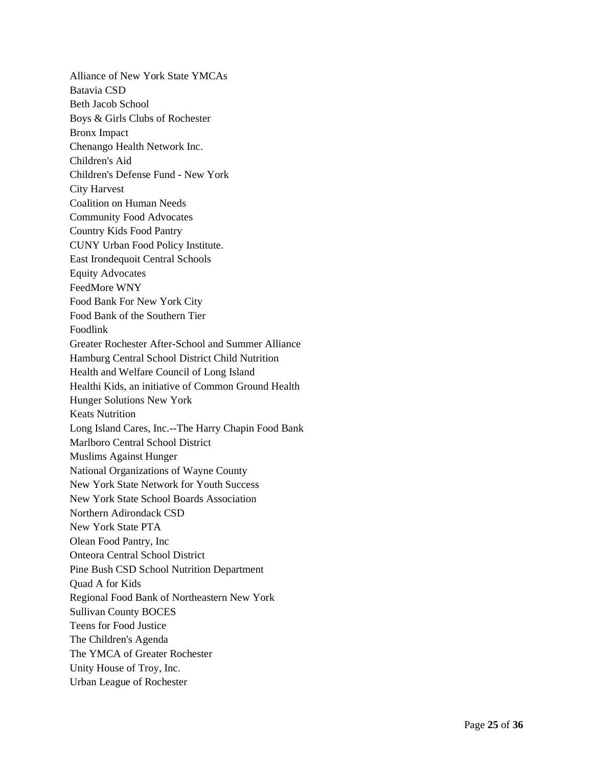Alliance of New York State YMCAs Batavia CSD Beth Jacob School Boys & Girls Clubs of Rochester Bronx Impact Chenango Health Network Inc. Children's Aid Children's Defense Fund - New York City Harvest Coalition on Human Needs Community Food Advocates Country Kids Food Pantry CUNY Urban Food Policy Institute. East Irondequoit Central Schools Equity Advocates FeedMore WNY Food Bank For New York City Food Bank of the Southern Tier Foodlink Greater Rochester After-School and Summer Alliance Hamburg Central School District Child Nutrition Health and Welfare Council of Long Island Healthi Kids, an initiative of Common Ground Health Hunger Solutions New York Keats Nutrition Long Island Cares, Inc.--The Harry Chapin Food Bank Marlboro Central School District Muslims Against Hunger National Organizations of Wayne County New York State Network for Youth Success New York State School Boards Association Northern Adirondack CSD New York State PTA Olean Food Pantry, Inc Onteora Central School District Pine Bush CSD School Nutrition Department Quad A for Kids Regional Food Bank of Northeastern New York Sullivan County BOCES Teens for Food Justice The Children's Agenda The YMCA of Greater Rochester Unity House of Troy, Inc. Urban League of Rochester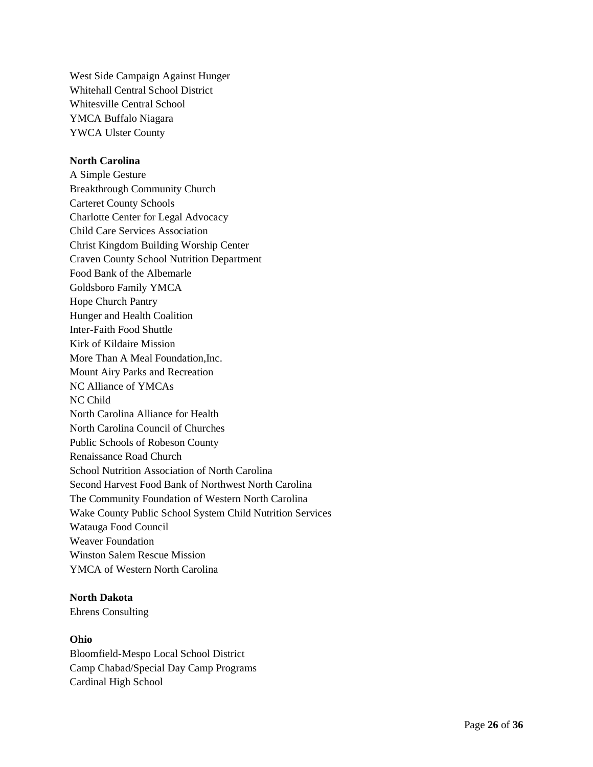West Side Campaign Against Hunger Whitehall Central School District Whitesville Central School YMCA Buffalo Niagara YWCA Ulster County

### **North Carolina**

A Simple Gesture Breakthrough Community Church Carteret County Schools Charlotte Center for Legal Advocacy Child Care Services Association Christ Kingdom Building Worship Center Craven County School Nutrition Department Food Bank of the Albemarle Goldsboro Family YMCA Hope Church Pantry Hunger and Health Coalition Inter-Faith Food Shuttle Kirk of Kildaire Mission More Than A Meal Foundation,Inc. Mount Airy Parks and Recreation NC Alliance of YMCAs NC Child North Carolina Alliance for Health North Carolina Council of Churches Public Schools of Robeson County Renaissance Road Church School Nutrition Association of North Carolina Second Harvest Food Bank of Northwest North Carolina The Community Foundation of Western North Carolina Wake County Public School System Child Nutrition Services Watauga Food Council Weaver Foundation Winston Salem Rescue Mission YMCA of Western North Carolina

### **North Dakota**

Ehrens Consulting

## **Ohio**

Bloomfield-Mespo Local School District Camp Chabad/Special Day Camp Programs Cardinal High School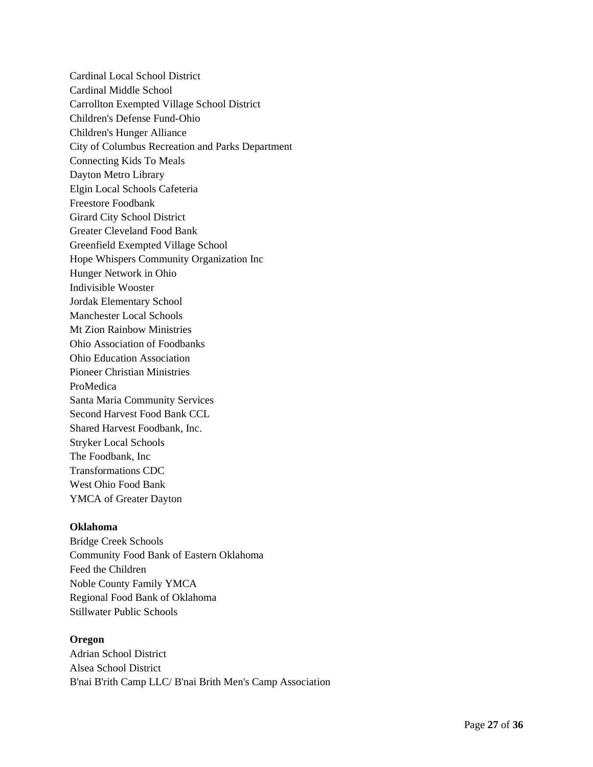Cardinal Local School District Cardinal Middle School Carrollton Exempted Village School District Children's Defense Fund-Ohio Children's Hunger Alliance City of Columbus Recreation and Parks Department Connecting Kids To Meals Dayton Metro Library Elgin Local Schools Cafeteria Freestore Foodbank Girard City School District Greater Cleveland Food Bank Greenfield Exempted Village School Hope Whispers Community Organization Inc Hunger Network in Ohio Indivisible Wooster Jordak Elementary School Manchester Local Schools Mt Zion Rainbow Ministries Ohio Association of Foodbanks Ohio Education Association Pioneer Christian Ministries ProMedica Santa Maria Community Services Second Harvest Food Bank CCL Shared Harvest Foodbank, Inc. Stryker Local Schools The Foodbank, Inc Transformations CDC West Ohio Food Bank YMCA of Greater Dayton

## **Oklahoma**

Bridge Creek Schools Community Food Bank of Eastern Oklahoma Feed the Children Noble County Family YMCA Regional Food Bank of Oklahoma Stillwater Public Schools

#### **Oregon**

Adrian School District Alsea School District B'nai B'rith Camp LLC/ B'nai Brith Men's Camp Association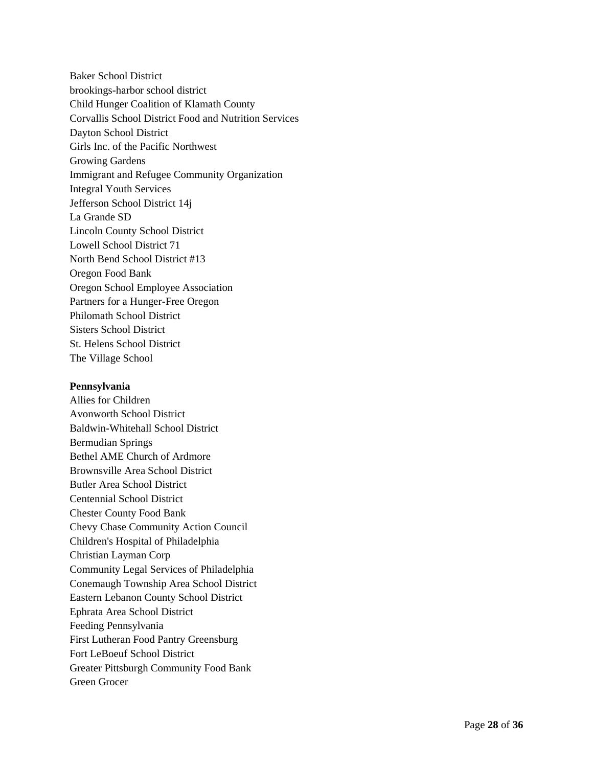Baker School District brookings-harbor school district Child Hunger Coalition of Klamath County Corvallis School District Food and Nutrition Services Dayton School District Girls Inc. of the Pacific Northwest Growing Gardens Immigrant and Refugee Community Organization Integral Youth Services Jefferson School District 14j La Grande SD Lincoln County School District Lowell School District 71 North Bend School District #13 Oregon Food Bank Oregon School Employee Association Partners for a Hunger-Free Oregon Philomath School District Sisters School District St. Helens School District The Village School

#### **Pennsylvania**

Allies for Children Avonworth School District Baldwin-Whitehall School District Bermudian Springs Bethel AME Church of Ardmore Brownsville Area School District Butler Area School District Centennial School District Chester County Food Bank Chevy Chase Community Action Council Children's Hospital of Philadelphia Christian Layman Corp Community Legal Services of Philadelphia Conemaugh Township Area School District Eastern Lebanon County School District Ephrata Area School District Feeding Pennsylvania First Lutheran Food Pantry Greensburg Fort LeBoeuf School District Greater Pittsburgh Community Food Bank Green Grocer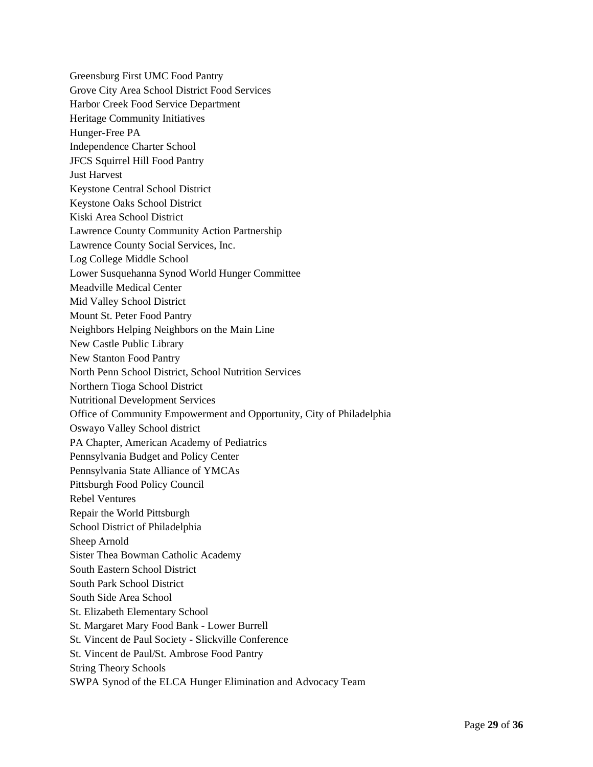Greensburg First UMC Food Pantry Grove City Area School District Food Services Harbor Creek Food Service Department Heritage Community Initiatives Hunger-Free PA Independence Charter School JFCS Squirrel Hill Food Pantry Just Harvest Keystone Central School District Keystone Oaks School District Kiski Area School District Lawrence County Community Action Partnership Lawrence County Social Services, Inc. Log College Middle School Lower Susquehanna Synod World Hunger Committee Meadville Medical Center Mid Valley School District Mount St. Peter Food Pantry Neighbors Helping Neighbors on the Main Line New Castle Public Library New Stanton Food Pantry North Penn School District, School Nutrition Services Northern Tioga School District Nutritional Development Services Office of Community Empowerment and Opportunity, City of Philadelphia Oswayo Valley School district PA Chapter, American Academy of Pediatrics Pennsylvania Budget and Policy Center Pennsylvania State Alliance of YMCAs Pittsburgh Food Policy Council Rebel Ventures Repair the World Pittsburgh School District of Philadelphia Sheep Arnold Sister Thea Bowman Catholic Academy South Eastern School District South Park School District South Side Area School St. Elizabeth Elementary School St. Margaret Mary Food Bank - Lower Burrell St. Vincent de Paul Society - Slickville Conference St. Vincent de Paul/St. Ambrose Food Pantry String Theory Schools SWPA Synod of the ELCA Hunger Elimination and Advocacy Team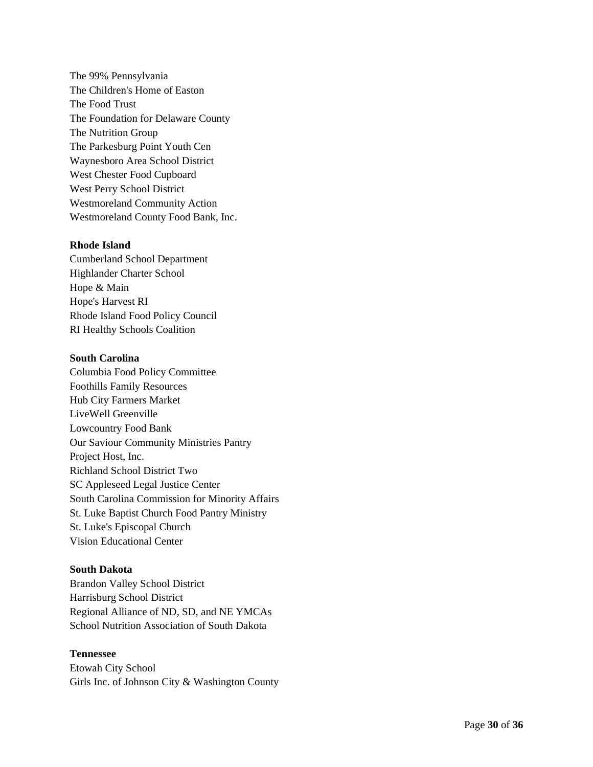The 99% Pennsylvania The Children's Home of Easton The Food Trust The Foundation for Delaware County The Nutrition Group The Parkesburg Point Youth Cen Waynesboro Area School District West Chester Food Cupboard West Perry School District Westmoreland Community Action Westmoreland County Food Bank, Inc.

### **Rhode Island**

Cumberland School Department Highlander Charter School Hope & Main Hope's Harvest RI Rhode Island Food Policy Council RI Healthy Schools Coalition

### **South Carolina**

Columbia Food Policy Committee Foothills Family Resources Hub City Farmers Market LiveWell Greenville Lowcountry Food Bank Our Saviour Community Ministries Pantry Project Host, Inc. Richland School District Two SC Appleseed Legal Justice Center South Carolina Commission for Minority Affairs St. Luke Baptist Church Food Pantry Ministry St. Luke's Episcopal Church Vision Educational Center

## **South Dakota**

Brandon Valley School District Harrisburg School District Regional Alliance of ND, SD, and NE YMCAs School Nutrition Association of South Dakota

## **Tennessee**

Etowah City School Girls Inc. of Johnson City & Washington County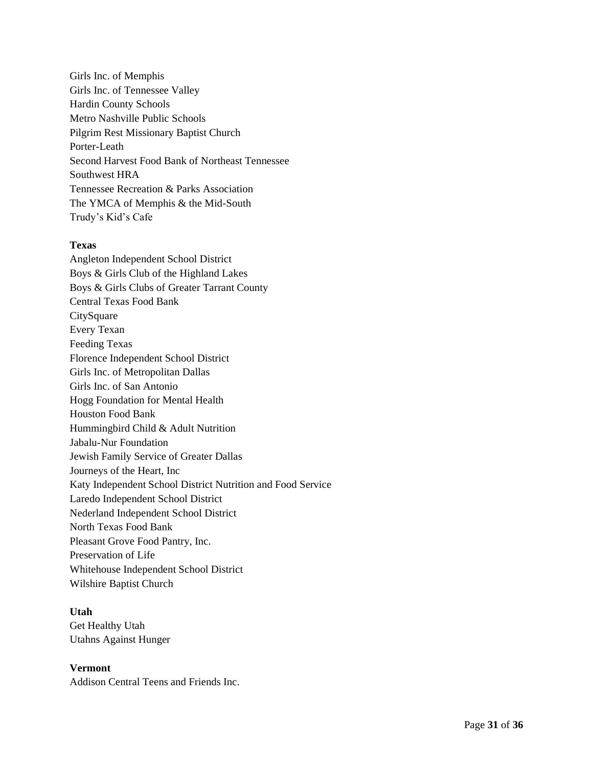Girls Inc. of Memphis Girls Inc. of Tennessee Valley Hardin County Schools Metro Nashville Public Schools Pilgrim Rest Missionary Baptist Church Porter-Leath Second Harvest Food Bank of Northeast Tennessee Southwest HRA Tennessee Recreation & Parks Association The YMCA of Memphis & the Mid-South Trudy's Kid's Cafe

## **Texas**

Angleton Independent School District Boys & Girls Club of the Highland Lakes Boys & Girls Clubs of Greater Tarrant County Central Texas Food Bank **CitySquare** Every Texan Feeding Texas Florence Independent School District Girls Inc. of Metropolitan Dallas Girls Inc. of San Antonio Hogg Foundation for Mental Health Houston Food Bank Hummingbird Child & Adult Nutrition Jabalu-Nur Foundation Jewish Family Service of Greater Dallas Journeys of the Heart, Inc Katy Independent School District Nutrition and Food Service Laredo Independent School District Nederland Independent School District North Texas Food Bank Pleasant Grove Food Pantry, Inc. Preservation of Life Whitehouse Independent School District Wilshire Baptist Church

## **Utah**

Get Healthy Utah Utahns Against Hunger

## **Vermont**

Addison Central Teens and Friends Inc.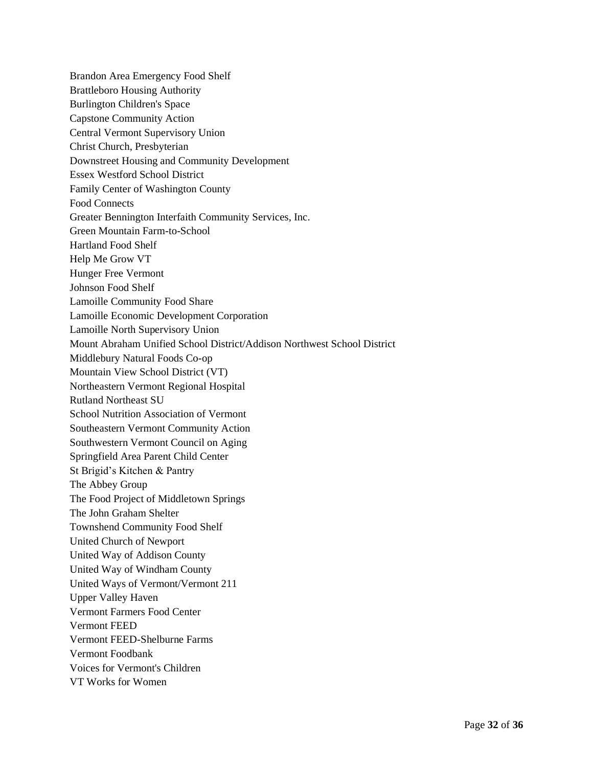Brandon Area Emergency Food Shelf Brattleboro Housing Authority Burlington Children's Space Capstone Community Action Central Vermont Supervisory Union Christ Church, Presbyterian Downstreet Housing and Community Development Essex Westford School District Family Center of Washington County Food Connects Greater Bennington Interfaith Community Services, Inc. Green Mountain Farm-to-School Hartland Food Shelf Help Me Grow VT Hunger Free Vermont Johnson Food Shelf Lamoille Community Food Share Lamoille Economic Development Corporation Lamoille North Supervisory Union Mount Abraham Unified School District/Addison Northwest School District Middlebury Natural Foods Co-op Mountain View School District (VT) Northeastern Vermont Regional Hospital Rutland Northeast SU School Nutrition Association of Vermont Southeastern Vermont Community Action Southwestern Vermont Council on Aging Springfield Area Parent Child Center St Brigid's Kitchen & Pantry The Abbey Group The Food Project of Middletown Springs The John Graham Shelter Townshend Community Food Shelf United Church of Newport United Way of Addison County United Way of Windham County United Ways of Vermont/Vermont 211 Upper Valley Haven Vermont Farmers Food Center Vermont FEED Vermont FEED-Shelburne Farms Vermont Foodbank Voices for Vermont's Children VT Works for Women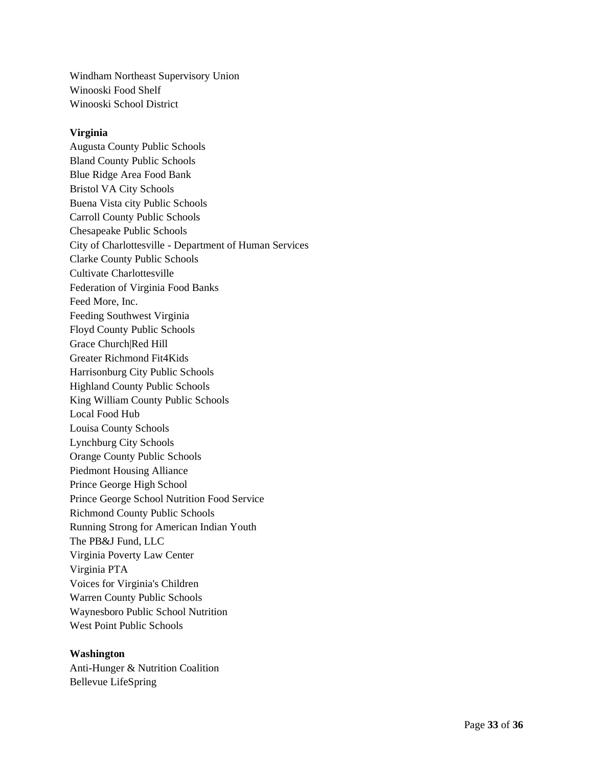Windham Northeast Supervisory Union Winooski Food Shelf Winooski School District

### **Virginia**

Augusta County Public Schools Bland County Public Schools Blue Ridge Area Food Bank Bristol VA City Schools Buena Vista city Public Schools Carroll County Public Schools Chesapeake Public Schools City of Charlottesville - Department of Human Services Clarke County Public Schools Cultivate Charlottesville Federation of Virginia Food Banks Feed More, Inc. Feeding Southwest Virginia Floyd County Public Schools Grace Church|Red Hill Greater Richmond Fit4Kids Harrisonburg City Public Schools Highland County Public Schools King William County Public Schools Local Food Hub Louisa County Schools Lynchburg City Schools Orange County Public Schools Piedmont Housing Alliance Prince George High School Prince George School Nutrition Food Service Richmond County Public Schools Running Strong for American Indian Youth The PB&J Fund, LLC Virginia Poverty Law Center Virginia PTA Voices for Virginia's Children Warren County Public Schools Waynesboro Public School Nutrition West Point Public Schools

## **Washington**

Anti-Hunger & Nutrition Coalition Bellevue LifeSpring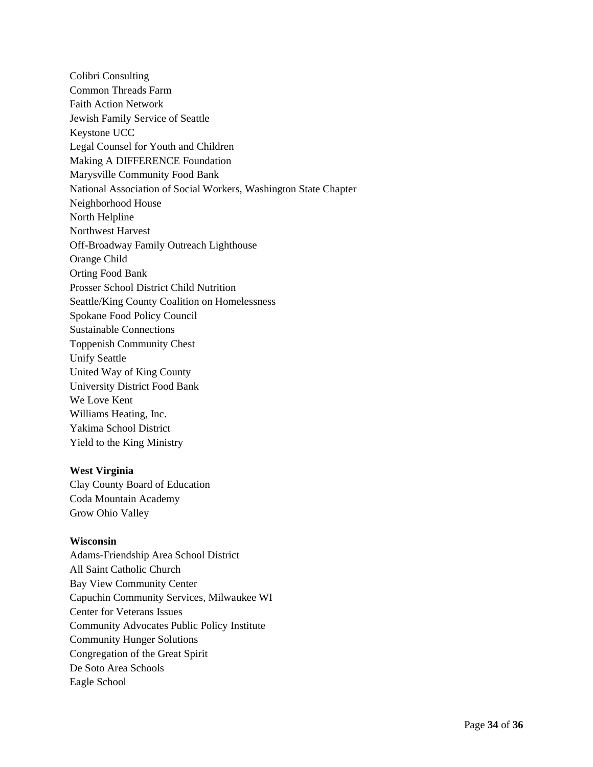Colibri Consulting Common Threads Farm Faith Action Network Jewish Family Service of Seattle Keystone UCC Legal Counsel for Youth and Children Making A DIFFERENCE Foundation Marysville Community Food Bank National Association of Social Workers, Washington State Chapter Neighborhood House North Helpline Northwest Harvest Off-Broadway Family Outreach Lighthouse Orange Child Orting Food Bank Prosser School District Child Nutrition Seattle/King County Coalition on Homelessness Spokane Food Policy Council Sustainable Connections Toppenish Community Chest Unify Seattle United Way of King County University District Food Bank We Love Kent Williams Heating, Inc. Yakima School District Yield to the King Ministry

## **West Virginia**

Clay County Board of Education Coda Mountain Academy Grow Ohio Valley

## **Wisconsin**

Adams-Friendship Area School District All Saint Catholic Church Bay View Community Center Capuchin Community Services, Milwaukee WI Center for Veterans Issues Community Advocates Public Policy Institute Community Hunger Solutions Congregation of the Great Spirit De Soto Area Schools Eagle School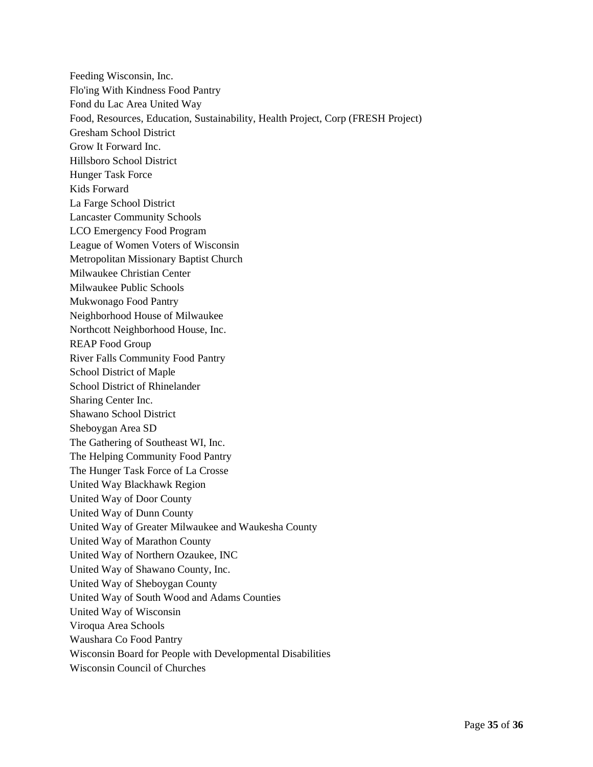Feeding Wisconsin, Inc. Flo'ing With Kindness Food Pantry Fond du Lac Area United Way Food, Resources, Education, Sustainability, Health Project, Corp (FRESH Project) Gresham School District Grow It Forward Inc. Hillsboro School District Hunger Task Force Kids Forward La Farge School District Lancaster Community Schools LCO Emergency Food Program League of Women Voters of Wisconsin Metropolitan Missionary Baptist Church Milwaukee Christian Center Milwaukee Public Schools Mukwonago Food Pantry Neighborhood House of Milwaukee Northcott Neighborhood House, Inc. REAP Food Group River Falls Community Food Pantry School District of Maple School District of Rhinelander Sharing Center Inc. Shawano School District Sheboygan Area SD The Gathering of Southeast WI, Inc. The Helping Community Food Pantry The Hunger Task Force of La Crosse United Way Blackhawk Region United Way of Door County United Way of Dunn County United Way of Greater Milwaukee and Waukesha County United Way of Marathon County United Way of Northern Ozaukee, INC United Way of Shawano County, Inc. United Way of Sheboygan County United Way of South Wood and Adams Counties United Way of Wisconsin Viroqua Area Schools Waushara Co Food Pantry Wisconsin Board for People with Developmental Disabilities Wisconsin Council of Churches